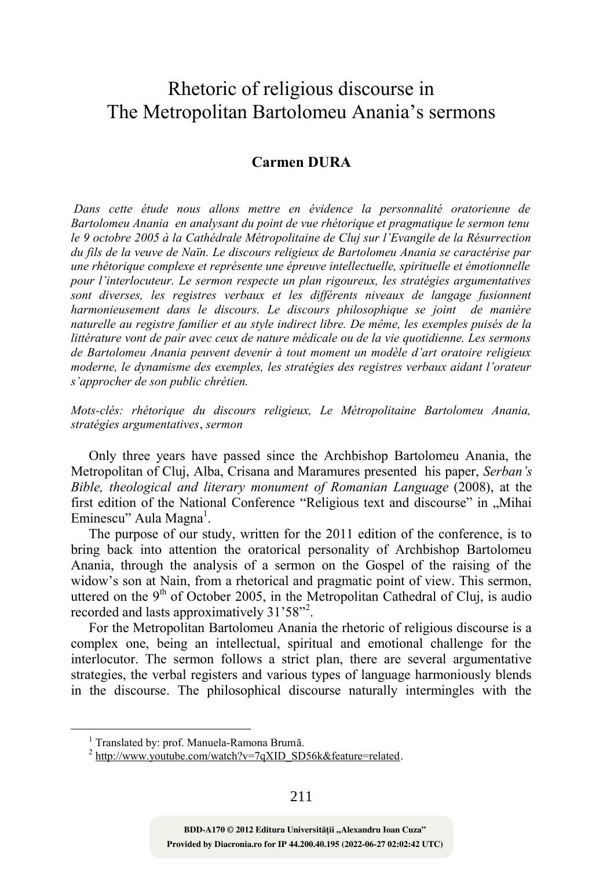## Rhetoric of religious discourse in The Metropolitan Bartolomeu Anania's sermons

## **Carmen DURA**

 *Dans cette étude nous allons mettre en évidence la personnalité oratorienne de Bartolomeu Anania en analysant du point de vue rhétorique et pragmatique le sermon tenu le 9 octobre 2005 à la Cathédrale Métropolitaine de Cluj sur l'Evangile de la Résurrection du fils de la veuve de Naïn. Le discours religieux de Bartolomeu Anania se caractérise par une rhétorique complexe et représente une épreuve intellectuelle, spirituelle et émotionnelle pour l'interlocuteur. Le sermon respecte un plan rigoureux, les stratégies argumentatives sont diverses, les registres verbaux et les différents niveaux de langage fusionnent harmonieusement dans le discours. Le discours philosophique se joint de manière naturelle au registre familier et au style indirect libre. De même, les exemples puisés de la littérature vont de pair avec ceux de nature médicale ou de la vie quotidienne. Les sermons de Bartolomeu Anania peuvent devenir à tout moment un modèle d'art oratoire religieux moderne, le dynamisme des exemples, les stratégies des registres verbaux aidant l'orateur s'approcher de son public chrétien.* 

*Mots-clés: rhétorique du discours religieux, Le Métropolitaine Bartolomeu Anania, stratégies argumentatives*, *sermon* 

Only three years have passed since the Archbishop Bartolomeu Anania, the Metropolitan of Cluj, Alba, Crisana and Maramures presented his paper, *Serban's Bible, theological and literary monument of Romanian Language* (2008), at the first edition of the National Conference "Religious text and discourse" in "Mihai Eminescu" Aula Magna<sup>1</sup>.

The purpose of our study, written for the 2011 edition of the conference, is to bring back into attention the oratorical personality of Archbishop Bartolomeu Anania, through the analysis of a sermon on the Gospel of the raising of the widow's son at Nain, from a rhetorical and pragmatic point of view. This sermon, uttered on the  $9<sup>th</sup>$  of October 2005, in the Metropolitan Cathedral of Cluj, is audio recorded and lasts approximatively 31'58"<sup>2</sup>.

For the Metropolitan Bartolomeu Anania the rhetoric of religious discourse is a complex one, being an intellectual, spiritual and emotional challenge for the interlocutor. The sermon follows a strict plan, there are several argumentative strategies, the verbal registers and various types of language harmoniously blends in the discourse. The philosophical discourse naturally intermingles with the

 $\overline{a}$ 

**Provided by Diacronia.ro for IP 44.200.40.195 (2022-06-27 02:02:42 UTC)** BDD-A170 © 2012 Editura Universității "Alexandru Ioan Cuza"

<sup>&</sup>lt;sup>1</sup> Translated by: prof. Manuela-Ramona Brumă.

 $^{2}$  http://www.youtube.com/watch?v=7qXID\_SD56k&feature=related.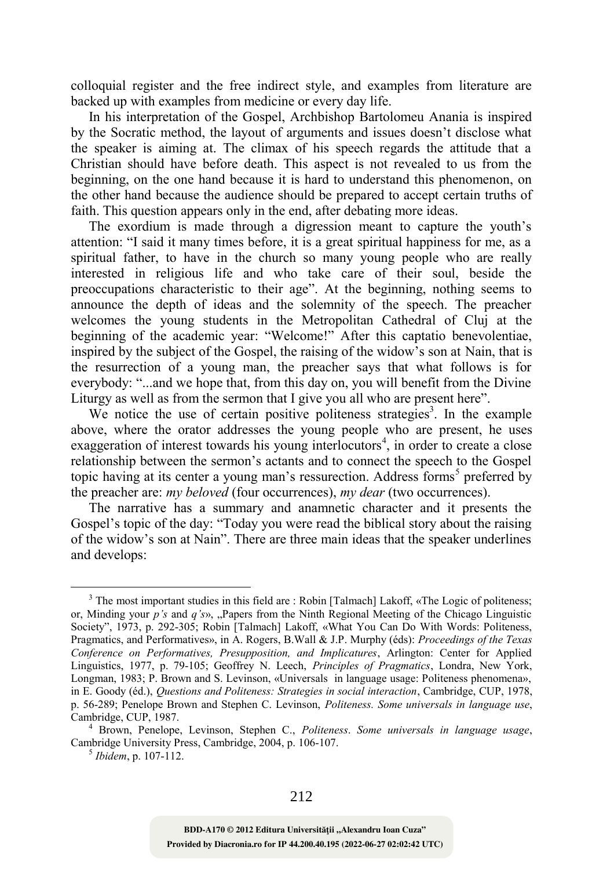colloquial register and the free indirect style, and examples from literature are backed up with examples from medicine or every day life.

In his interpretation of the Gospel, Archbishop Bartolomeu Anania is inspired by the Socratic method, the layout of arguments and issues doesn't disclose what the speaker is aiming at. The climax of his speech regards the attitude that a Christian should have before death. This aspect is not revealed to us from the beginning, on the one hand because it is hard to understand this phenomenon, on the other hand because the audience should be prepared to accept certain truths of faith. This question appears only in the end, after debating more ideas.

The exordium is made through a digression meant to capture the youth's attention: "I said it many times before, it is a great spiritual happiness for me, as a spiritual father, to have in the church so many young people who are really interested in religious life and who take care of their soul, beside the preoccupations characteristic to their age". At the beginning, nothing seems to announce the depth of ideas and the solemnity of the speech. The preacher welcomes the young students in the Metropolitan Cathedral of Cluj at the beginning of the academic year: "Welcome!" After this captatio benevolentiae, inspired by the subject of the Gospel, the raising of the widow's son at Nain, that is the resurrection of a young man, the preacher says that what follows is for everybody: "...and we hope that, from this day on, you will benefit from the Divine Liturgy as well as from the sermon that I give you all who are present here".

We notice the use of certain positive politeness strategies<sup>3</sup>. In the example above, where the orator addresses the young people who are present, he uses exaggeration of interest towards his young interlocutors<sup>4</sup>, in order to create a close relationship between the sermon's actants and to connect the speech to the Gospel topic having at its center a young man's ressurection. Address forms<sup>5</sup> preferred by the preacher are: *my beloved* (four occurrences), *my dear* (two occurrences).

The narrative has a summary and anamnetic character and it presents the Gospel's topic of the day: "Today you were read the biblical story about the raising of the widow's son at Nain". There are three main ideas that the speaker underlines and develops:

5 *Ibidem*, p. 107-112.

<sup>&</sup>lt;sup>3</sup> The most important studies in this field are : Robin [Talmach] Lakoff, «The Logic of politeness; or, Minding your *p's* and *q's*», "Papers from the Ninth Regional Meeting of the Chicago Linguistic Society", 1973, p. 292-305; Robin [Talmach] Lakoff, «What You Can Do With Words: Politeness, Pragmatics, and Performatives», in A. Rogers, B.Wall & J.P. Murphy (éds): *Proceedings of the Texas Conference on Performatives, Presupposition, and Implicatures*, Arlington: Center for Applied Linguistics, 1977, p. 79-105; Geoffrey N. Leech, *Principles of Pragmatics*, Londra, New York, Longman, 1983; P. Brown and S. Levinson, «Universals in language usage: Politeness phenomena», in E. Goody (éd.), *Questions and Politeness: Strategies in social interaction*, Cambridge, CUP, 1978, p. 56-289; Penelope Brown and Stephen C. Levinson, *Politeness. Some universals in language use*, Cambridge, CUP, 1987.

<sup>4</sup> Brown, Penelope, Levinson, Stephen C., *Politeness*. *Some universals in language usage*, Cambridge University Press, Cambridge, 2004, p. 106-107.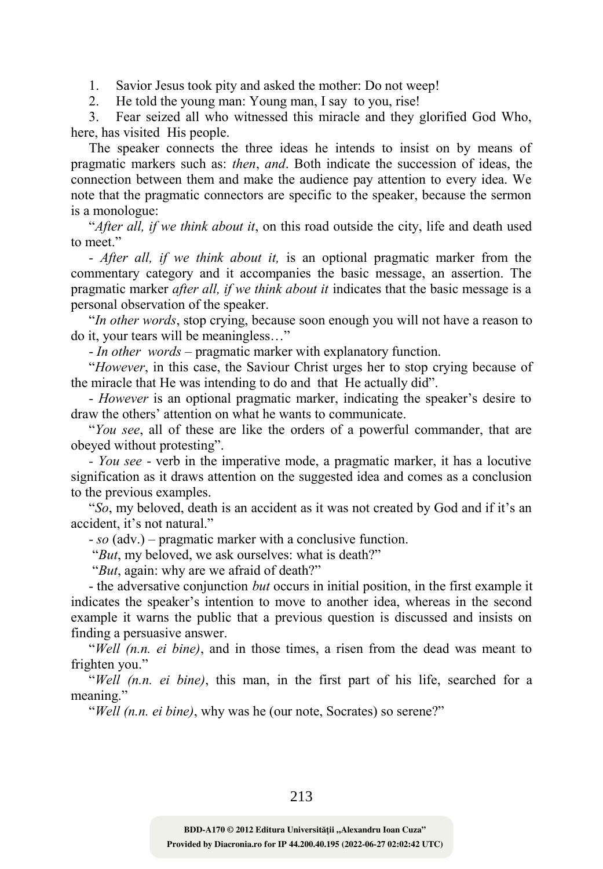1. Savior Jesus took pity and asked the mother: Do not weep!

2. He told the young man: Young man, I say to you, rise!

3. Fear seized all who witnessed this miracle and they glorified God Who, here, has visited His people.

The speaker connects the three ideas he intends to insist on by means of pragmatic markers such as: *then*, *and*. Both indicate the succession of ideas, the connection between them and make the audience pay attention to every idea. We note that the pragmatic connectors are specific to the speaker, because the sermon is a monologue:

"*After all, if we think about it*, on this road outside the city, life and death used to meet."

*- After all, if we think about it,* is an optional pragmatic marker from the commentary category and it accompanies the basic message, an assertion. The pragmatic marker *after all, if we think about it* indicates that the basic message is a personal observation of the speaker.

"*In other words*, stop crying, because soon enough you will not have a reason to do it, your tears will be meaningless…"

- *In other words* – pragmatic marker with explanatory function.

"*However*, in this case, the Saviour Christ urges her to stop crying because of the miracle that He was intending to do and that He actually did".

- *However* is an optional pragmatic marker, indicating the speaker's desire to draw the others' attention on what he wants to communicate.

"*You see*, all of these are like the orders of a powerful commander, that are obeyed without protesting".

*- You see* - verb in the imperative mode, a pragmatic marker, it has a locutive signification as it draws attention on the suggested idea and comes as a conclusion to the previous examples.

"*So*, my beloved, death is an accident as it was not created by God and if it's an accident, it's not natural."

- *so* (adv.) – pragmatic marker with a conclusive function.

"*But*, my beloved, we ask ourselves: what is death?"

"*But*, again: why are we afraid of death?"

- the adversative conjunction *but* occurs in initial position, in the first example it indicates the speaker's intention to move to another idea, whereas in the second example it warns the public that a previous question is discussed and insists on finding a persuasive answer.

"*Well (n.n. ei bine)*, and in those times, a risen from the dead was meant to frighten you."

"*Well (n.n. ei bine)*, this man, in the first part of his life, searched for a meaning."

"*Well (n.n. ei bine)*, why was he (our note, Socrates) so serene?"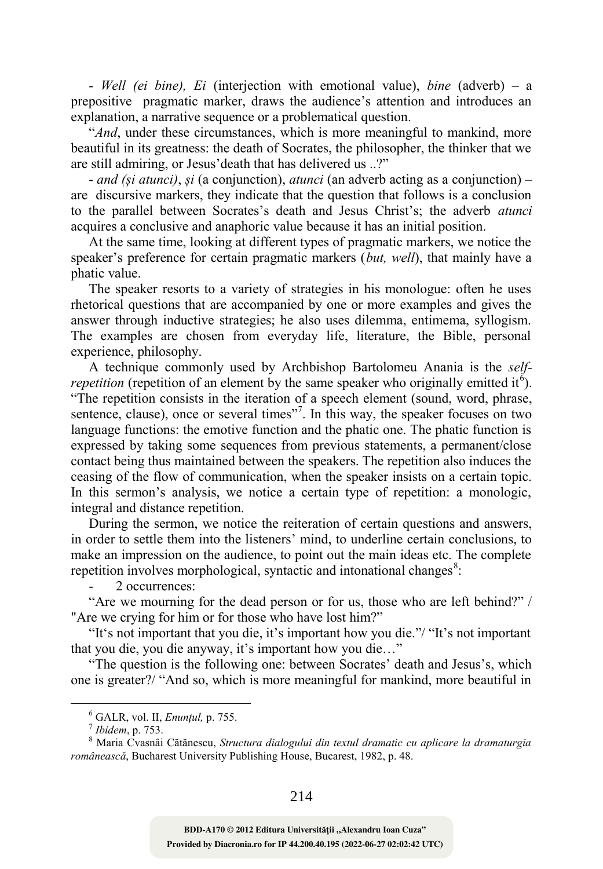*- Well (ei bine), Ei* (interjection with emotional value), *bine* (adverb) – a prepositive pragmatic marker, draws the audience's attention and introduces an explanation, a narrative sequence or a problematical question.

"*And*, under these circumstances, which is more meaningful to mankind, more beautiful in its greatness: the death of Socrates, the philosopher, the thinker that we are still admiring, or Jesus'death that has delivered us ..?"

- *and (și atunci)*, *și* (a conjunction), *atunci* (an adverb acting as a conjunction) – are discursive markers, they indicate that the question that follows is a conclusion to the parallel between Socrates's death and Jesus Christ's; the adverb *atunci* acquires a conclusive and anaphoric value because it has an initial position.

At the same time, looking at different types of pragmatic markers, we notice the speaker's preference for certain pragmatic markers (*but, well*), that mainly have a phatic value.

The speaker resorts to a variety of strategies in his monologue: often he uses rhetorical questions that are accompanied by one or more examples and gives the answer through inductive strategies; he also uses dilemma, entimema, syllogism. The examples are chosen from everyday life, literature, the Bible, personal experience, philosophy.

A technique commonly used by Archbishop Bartolomeu Anania is the *selfrepetition* (repetition of an element by the same speaker who originally emitted it<sup> $6$ </sup>). "The repetition consists in the iteration of a speech element (sound, word, phrase, sentence, clause), once or several times"<sup>7</sup>. In this way, the speaker focuses on two language functions: the emotive function and the phatic one. The phatic function is expressed by taking some sequences from previous statements, a permanent/close contact being thus maintained between the speakers. The repetition also induces the ceasing of the flow of communication, when the speaker insists on a certain topic. In this sermon's analysis, we notice a certain type of repetition: a monologic, integral and distance repetition.

During the sermon, we notice the reiteration of certain questions and answers, in order to settle them into the listeners' mind, to underline certain conclusions, to make an impression on the audience, to point out the main ideas etc. The complete repetition involves morphological, syntactic and intonational changes<sup>8</sup>:

2 occurrences:

"Are we mourning for the dead person or for us, those who are left behind?" / "Are we crying for him or for those who have lost him?"

"It's not important that you die, it's important how you die."/ "It's not important that you die, you die anyway, it's important how you die…"

"The question is the following one: between Socrates' death and Jesus's, which one is greater?/ "And so, which is more meaningful for mankind, more beautiful in

<sup>6</sup> GALR, vol. II, *Enunțul,* p. 755.

<sup>7</sup> *Ibidem*, p. 753.

<sup>8</sup> Maria Cvasnâi Cătănescu, *Structura dialogului din textul dramatic cu aplicare la dramaturgia românească*, Bucharest University Publishing House, Bucarest, 1982, p. 48.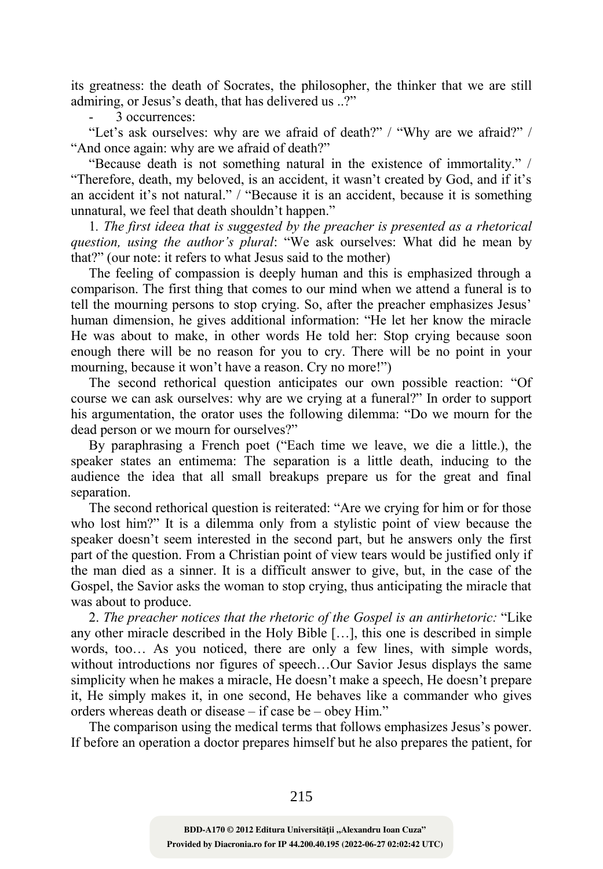its greatness: the death of Socrates, the philosopher, the thinker that we are still admiring, or Jesus's death, that has delivered us ..?"

- 3 occurrences:

"Let's ask ourselves: why are we afraid of death?" / "Why are we afraid?" / "And once again: why are we afraid of death?"

"Because death is not something natural in the existence of immortality." / "Therefore, death, my beloved, is an accident, it wasn't created by God, and if it's an accident it's not natural." / "Because it is an accident, because it is something unnatural, we feel that death shouldn't happen."

1*. The first ideea that is suggested by the preacher is presented as a rhetorical question, using the author's plural*: "We ask ourselves: What did he mean by that?" (our note: it refers to what Jesus said to the mother)

The feeling of compassion is deeply human and this is emphasized through a comparison. The first thing that comes to our mind when we attend a funeral is to tell the mourning persons to stop crying. So, after the preacher emphasizes Jesus' human dimension, he gives additional information: "He let her know the miracle He was about to make, in other words He told her: Stop crying because soon enough there will be no reason for you to cry. There will be no point in your mourning, because it won't have a reason. Cry no more!")

The second rethorical question anticipates our own possible reaction: "Of course we can ask ourselves: why are we crying at a funeral?" In order to support his argumentation, the orator uses the following dilemma: "Do we mourn for the dead person or we mourn for ourselves?"

By paraphrasing a French poet ("Each time we leave, we die a little.), the speaker states an entimema: The separation is a little death, inducing to the audience the idea that all small breakups prepare us for the great and final separation.

The second rethorical question is reiterated: "Are we crying for him or for those who lost him?" It is a dilemma only from a stylistic point of view because the speaker doesn't seem interested in the second part, but he answers only the first part of the question. From a Christian point of view tears would be justified only if the man died as a sinner. It is a difficult answer to give, but, in the case of the Gospel, the Savior asks the woman to stop crying, thus anticipating the miracle that was about to produce.

2. *The preacher notices that the rhetoric of the Gospel is an antirhetoric:* "Like any other miracle described in the Holy Bible […], this one is described in simple words, too… As you noticed, there are only a few lines, with simple words, without introductions nor figures of speech…Our Savior Jesus displays the same simplicity when he makes a miracle, He doesn't make a speech, He doesn't prepare it, He simply makes it, in one second, He behaves like a commander who gives orders whereas death or disease – if case be – obey Him."

The comparison using the medical terms that follows emphasizes Jesus's power. If before an operation a doctor prepares himself but he also prepares the patient, for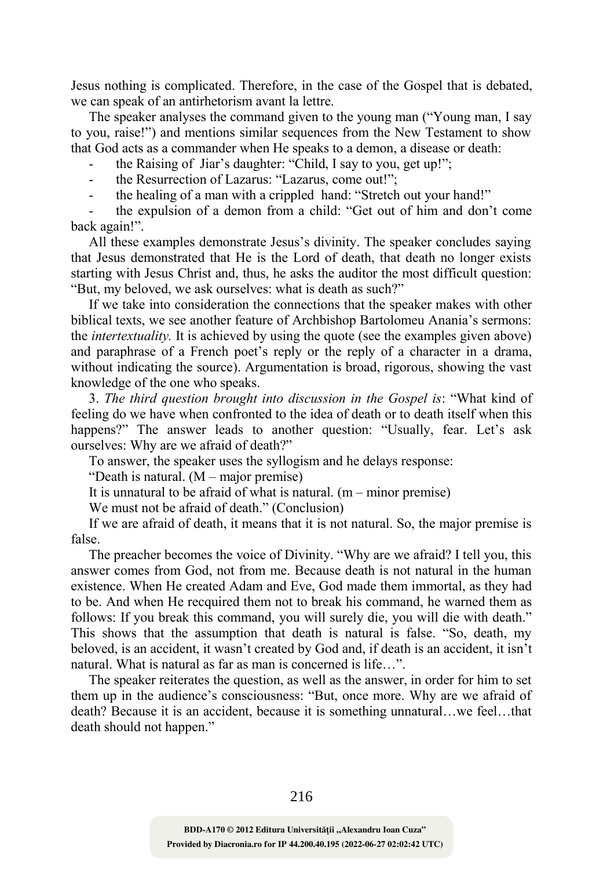Jesus nothing is complicated. Therefore, in the case of the Gospel that is debated, we can speak of an antirhetorism avant la lettre.

The speaker analyses the command given to the young man ("Young man, I say to you, raise!") and mentions similar sequences from the New Testament to show that God acts as a commander when He speaks to a demon, a disease or death:

- the Raising of Jiar's daughter: "Child, I say to you, get up!";
- the Resurrection of Lazarus: "Lazarus, come out!";
- the healing of a man with a crippled hand: "Stretch out your hand!"

- the expulsion of a demon from a child: "Get out of him and don't come back again!".

All these examples demonstrate Jesus's divinity. The speaker concludes saying that Jesus demonstrated that He is the Lord of death, that death no longer exists starting with Jesus Christ and, thus, he asks the auditor the most difficult question: "But, my beloved, we ask ourselves: what is death as such?"

If we take into consideration the connections that the speaker makes with other biblical texts, we see another feature of Archbishop Bartolomeu Anania's sermons: the *intertextuality.* It is achieved by using the quote (see the examples given above) and paraphrase of a French poet's reply or the reply of a character in a drama, without indicating the source). Argumentation is broad, rigorous, showing the vast knowledge of the one who speaks.

3. *The third question brought into discussion in the Gospel is*: "What kind of feeling do we have when confronted to the idea of death or to death itself when this happens?" The answer leads to another question: "Usually, fear. Let's ask ourselves: Why are we afraid of death?"

To answer, the speaker uses the syllogism and he delays response:

"Death is natural. (M – major premise)

It is unnatural to be afraid of what is natural.  $(m - minor\ premise)$ 

We must not be afraid of death." (Conclusion)

If we are afraid of death, it means that it is not natural. So, the major premise is false.

The preacher becomes the voice of Divinity. "Why are we afraid? I tell you, this answer comes from God, not from me. Because death is not natural in the human existence. When He created Adam and Eve, God made them immortal, as they had to be. And when He recquired them not to break his command, he warned them as follows: If you break this command, you will surely die, you will die with death." This shows that the assumption that death is natural is false. "So, death, my beloved, is an accident, it wasn't created by God and, if death is an accident, it isn't natural. What is natural as far as man is concerned is life…".

The speaker reiterates the question, as well as the answer, in order for him to set them up in the audience's consciousness: "But, once more. Why are we afraid of death? Because it is an accident, because it is something unnatural…we feel…that death should not happen."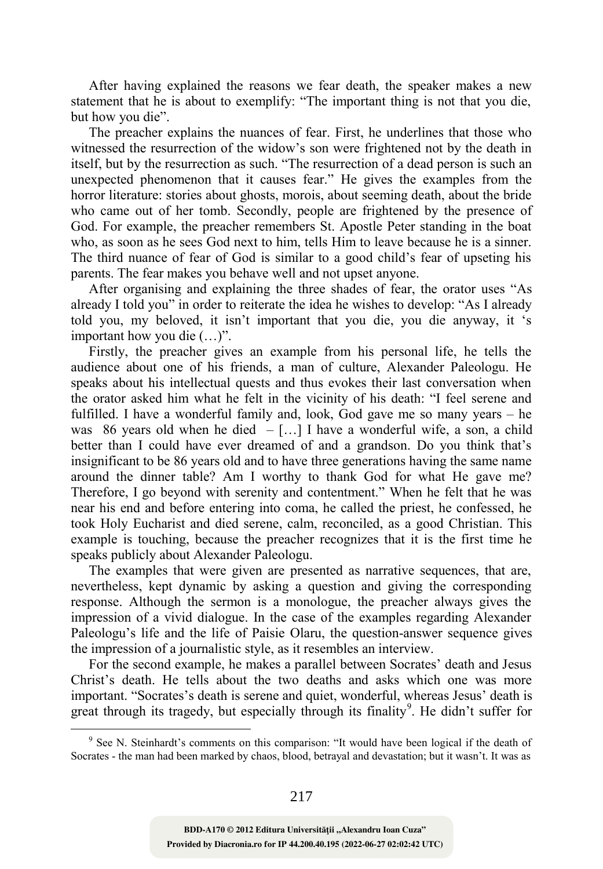After having explained the reasons we fear death, the speaker makes a new statement that he is about to exemplify: "The important thing is not that you die, but how you die".

The preacher explains the nuances of fear. First, he underlines that those who witnessed the resurrection of the widow's son were frightened not by the death in itself, but by the resurrection as such. "The resurrection of a dead person is such an unexpected phenomenon that it causes fear." He gives the examples from the horror literature: stories about ghosts, morois, about seeming death, about the bride who came out of her tomb. Secondly, people are frightened by the presence of God. For example, the preacher remembers St. Apostle Peter standing in the boat who, as soon as he sees God next to him, tells Him to leave because he is a sinner. The third nuance of fear of God is similar to a good child's fear of upseting his parents. The fear makes you behave well and not upset anyone.

After organising and explaining the three shades of fear, the orator uses "As already I told you" in order to reiterate the idea he wishes to develop: "As I already told you, my beloved, it isn't important that you die, you die anyway, it 's important how you die (…)".

Firstly, the preacher gives an example from his personal life, he tells the audience about one of his friends, a man of culture, Alexander Paleologu. He speaks about his intellectual quests and thus evokes their last conversation when the orator asked him what he felt in the vicinity of his death: "I feel serene and fulfilled. I have a wonderful family and, look, God gave me so many years – he was 86 years old when he died  $-$  [...] I have a wonderful wife, a son, a child better than I could have ever dreamed of and a grandson. Do you think that's insignificant to be 86 years old and to have three generations having the same name around the dinner table? Am I worthy to thank God for what He gave me? Therefore, I go beyond with serenity and contentment." When he felt that he was near his end and before entering into coma, he called the priest, he confessed, he took Holy Eucharist and died serene, calm, reconciled, as a good Christian. This example is touching, because the preacher recognizes that it is the first time he speaks publicly about Alexander Paleologu.

The examples that were given are presented as narrative sequences, that are, nevertheless, kept dynamic by asking a question and giving the corresponding response. Although the sermon is a monologue, the preacher always gives the impression of a vivid dialogue. In the case of the examples regarding Alexander Paleologu's life and the life of Paisie Olaru, the question-answer sequence gives the impression of a journalistic style, as it resembles an interview.

For the second example, he makes a parallel between Socrates' death and Jesus Christ's death. He tells about the two deaths and asks which one was more important. "Socrates's death is serene and quiet, wonderful, whereas Jesus' death is great through its tragedy, but especially through its finality<sup>9</sup>. He didn't suffer for

<sup>&</sup>lt;sup>9</sup> See N. Steinhardt's comments on this comparison: "It would have been logical if the death of Socrates - the man had been marked by chaos, blood, betrayal and devastation; but it wasn't. It was as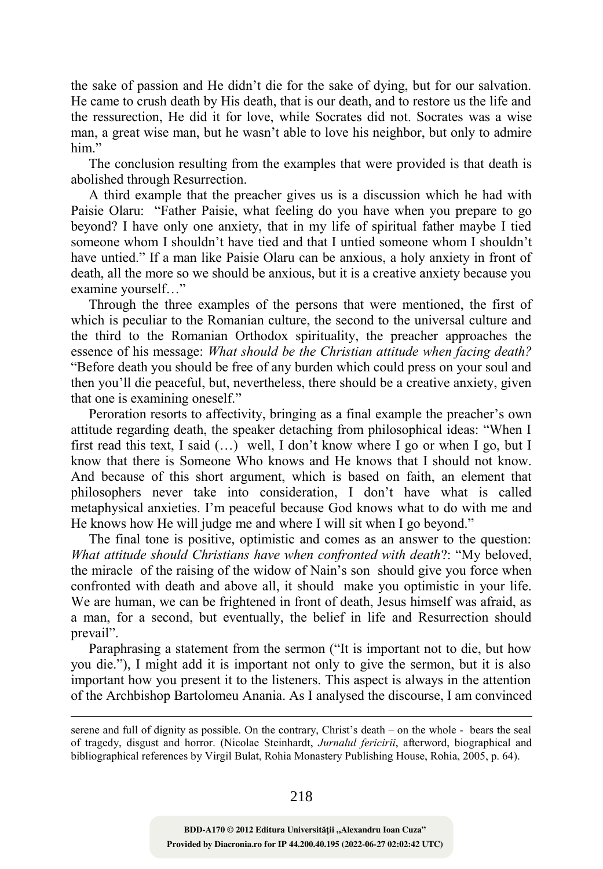the sake of passion and He didn't die for the sake of dying, but for our salvation. He came to crush death by His death, that is our death, and to restore us the life and the ressurection, He did it for love, while Socrates did not. Socrates was a wise man, a great wise man, but he wasn't able to love his neighbor, but only to admire him"

The conclusion resulting from the examples that were provided is that death is abolished through Resurrection.

A third example that the preacher gives us is a discussion which he had with Paisie Olaru: "Father Paisie, what feeling do you have when you prepare to go beyond? I have only one anxiety, that in my life of spiritual father maybe I tied someone whom I shouldn't have tied and that I untied someone whom I shouldn't have untied." If a man like Paisie Olaru can be anxious, a holy anxiety in front of death, all the more so we should be anxious, but it is a creative anxiety because you examine yourself…"

Through the three examples of the persons that were mentioned, the first of which is peculiar to the Romanian culture, the second to the universal culture and the third to the Romanian Orthodox spirituality, the preacher approaches the essence of his message: *What should be the Christian attitude when facing death?* "Before death you should be free of any burden which could press on your soul and then you'll die peaceful, but, nevertheless, there should be a creative anxiety, given that one is examining oneself."

Peroration resorts to affectivity, bringing as a final example the preacher's own attitude regarding death, the speaker detaching from philosophical ideas: "When I first read this text, I said (…) well, I don't know where I go or when I go, but I know that there is Someone Who knows and He knows that I should not know. And because of this short argument, which is based on faith, an element that philosophers never take into consideration, I don't have what is called metaphysical anxieties. I'm peaceful because God knows what to do with me and He knows how He will judge me and where I will sit when I go beyond."

The final tone is positive, optimistic and comes as an answer to the question: *What attitude should Christians have when confronted with death*?: "My beloved, the miracle of the raising of the widow of Nain's son should give you force when confronted with death and above all, it should make you optimistic in your life. We are human, we can be frightened in front of death, Jesus himself was afraid, as a man, for a second, but eventually, the belief in life and Resurrection should prevail".

Paraphrasing a statement from the sermon ("It is important not to die, but how you die."), I might add it is important not only to give the sermon, but it is also important how you present it to the listeners. This aspect is always in the attention of the Archbishop Bartolomeu Anania. As I analysed the discourse, I am convinced

serene and full of dignity as possible. On the contrary, Christ's death – on the whole - bears the seal of tragedy, disgust and horror. (Nicolae Steinhardt, *Jurnalul fericirii*, afterword, biographical and bibliographical references by Virgil Bulat, Rohia Monastery Publishing House, Rohia, 2005, p. 64).